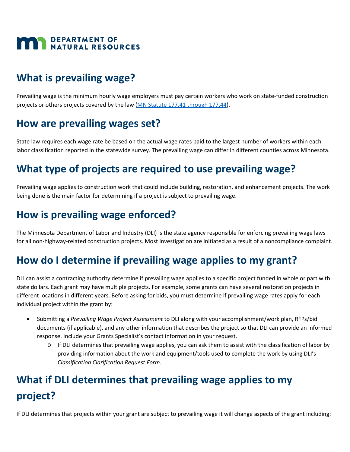

## **What is prevailing wage?**

Prevailing wage is the minimum hourly wage employers must pay certain workers who work on state-funded construction projects or others projects covered by the law [\(MN Statute 177.41 through 177.44\)](https://www.revisor.mn.gov/statutes/cite/177).

### **How are prevailing wages set?**

State law requires each wage rate be based on the actual wage rates paid to the largest number of workers within each labor classification reported in the statewide survey. The prevailing wage can differ in different counties across Minnesota.

## **What type of projects are required to use prevailing wage?**

Prevailing wage applies to construction work that could include building, restoration, and enhancement projects. The work being done is the main factor for determining if a project is subject to prevailing wage.

## **How is prevailing wage enforced?**

The Minnesota Department of Labor and Industry (DLI) is the state agency responsible for enforcing prevailing wage laws for all non-highway-related construction projects. Most investigation are initiated as a result of a noncompliance complaint.

## **How do I determine if prevailing wage applies to my grant?**

DLI can assist a contracting authority determine if prevailing wage applies to a specific project funded in whole or part with state dollars. Each grant may have multiple projects. For example, some grants can have several restoration projects in different locations in different years. Before asking for bids, you must determine if prevailing wage rates apply for each individual project within the grant by:

- Submitting a *Prevailing Wage Project Assessment* to DLI along with your accomplishment/work plan, RFPs/bid documents (if applicable), and any other information that describes the project so that DLI can provide an informed response. Include your Grants Specialist's contact information in your request.
	- o If DLI determines that prevailing wage applies, you can ask them to assist with the classification of labor by providing information about the work and equipment/tools used to complete the work by using DLI's *Classification Clarification Request Form*.

## **What if DLI determines that prevailing wage applies to my project?**

If DLI determines that projects within your grant are subject to prevailing wage it will change aspects of the grant including: